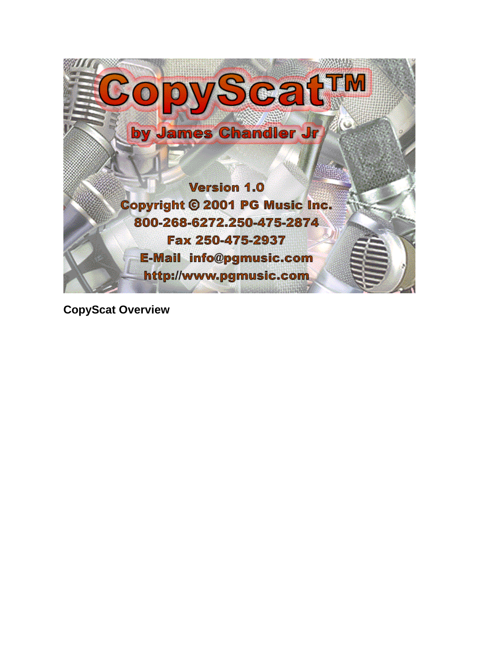

**CopyScat Overview**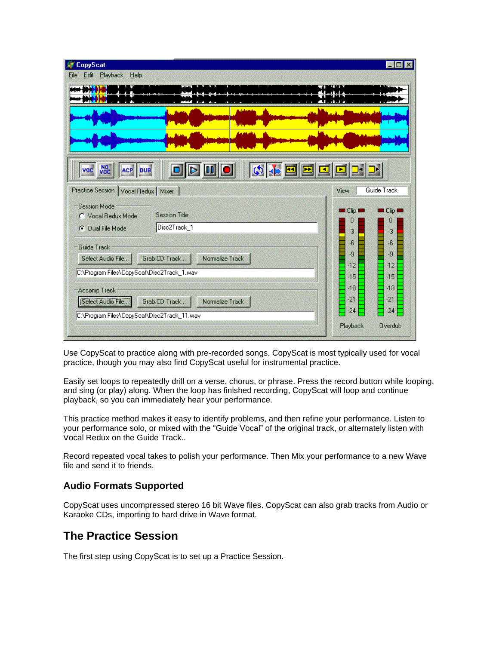| CopyScat                                              |                       | ※ 26        |
|-------------------------------------------------------|-----------------------|-------------|
| Playback Help<br>Edit<br>Hile                         |                       |             |
|                                                       |                       |             |
|                                                       |                       |             |
|                                                       |                       |             |
|                                                       |                       |             |
|                                                       |                       |             |
|                                                       |                       |             |
| $ 00 $ $\circ$<br>NO <sub>C</sub><br>ACP DUB<br>VOC   |                       |             |
|                                                       |                       |             |
| Practice Session   Vocal Redux   Mixer                | View                  | Guide Track |
| <b>Session Mode</b>                                   | $\blacksquare$ Clip 1 | $\Box$ Clip |
| Session Title:<br>C Vocal Redux Mode                  | П                     | П           |
| Disc2Track_1<br>Dual File Mode<br>m                   | 窩                     | 窈           |
| Guide Track                                           | 6                     | Æ           |
| Grab CD Track<br>Normalize Track<br>Select Audio File | Æ                     | 灗           |
| C:\Program Files\CopyScat\Disc2Track_1.wav            | 56                    | 42          |
|                                                       | -15                   | 215         |
| Accomp Track                                          | SB.                   | 26          |
|                                                       | -21                   | -21         |
| Select Audio File<br>Grab CD Track<br>Normalize Track |                       |             |
| C:\Program Files\CopyScat\Disc2Track_11.wav           | $-24$                 | $-24$       |

Use CopyScat to practice along with pre-recorded songs. CopyScat is most typically used for vocal practice, though you may also find CopyScat useful for instrumental practice.

Easily set loops to repeatedly drill on a verse, chorus, or phrase. Press the record button while looping, and sing (or play) along. When the loop has finished recording, CopyScat will loop and continue playback, so you can immediately hear your performance.

This practice method makes it easy to identify problems, and then refine your performance. Listen to your performance solo, or mixed with the "Guide Vocal" of the original track, or alternately listen with Vocal Redux on the Guide Track..

Record repeated vocal takes to polish your performance. Then Mix your performance to a new Wave file and send it to friends.

### **Audio Formats Supported**

CopyScat uses uncompressed stereo 16 bit Wave files. CopyScat can also grab tracks from Audio or Karaoke CDs, importing to hard drive in Wave format.

### **The Practice Session**

The first step using CopyScat is to set up a Practice Session.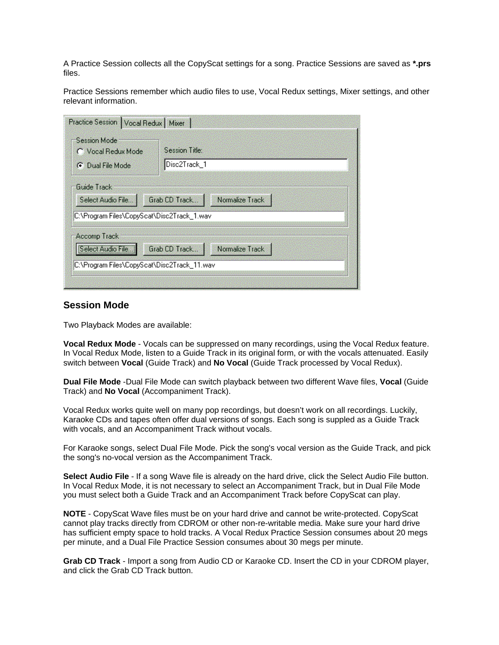A Practice Session collects all the CopyScat settings for a song. Practice Sessions are saved as **\*.prs** files.

Practice Sessions remember which audio files to use, Vocal Redux settings, Mixer settings, and other relevant information.

| Practice Session   Vocal Redux   Mixer                                           |                                  |  |
|----------------------------------------------------------------------------------|----------------------------------|--|
| <b>Session Mode</b><br>C Vocal Redux Mode<br><b>C</b> Dual File Mode             | Session Title:<br>Disc2Track_1   |  |
| Guide Track<br>Select Audio File<br> C:\Program Files\CopyScat\Disc2Track_1.wav  | Grab CD Track<br>Normalize Track |  |
| Accomp Track<br>Select Audio File<br>C:\Program Files\CopyScat\Disc2Track_11.wav | Normalize Track<br>Grab CD Track |  |

### **Session Mode**

Two Playback Modes are available:

**Vocal Redux Mode** - Vocals can be suppressed on many recordings, using the Vocal Redux feature. In Vocal Redux Mode, listen to a Guide Track in its original form, or with the vocals attenuated. Easily switch between **Vocal** (Guide Track) and **No Vocal** (Guide Track processed by Vocal Redux).

**Dual File Mode** -Dual File Mode can switch playback between two different Wave files, **Vocal** (Guide Track) and **No Vocal** (Accompaniment Track).

Vocal Redux works quite well on many pop recordings, but doesn't work on all recordings. Luckily, Karaoke CDs and tapes often offer dual versions of songs. Each song is suppled as a Guide Track with vocals, and an Accompaniment Track without vocals.

For Karaoke songs, select Dual File Mode. Pick the song's vocal version as the Guide Track, and pick the song's no-vocal version as the Accompaniment Track.

**Select Audio File** - If a song Wave file is already on the hard drive, click the Select Audio File button. In Vocal Redux Mode, it is not necessary to select an Accompaniment Track, but in Dual File Mode you must select both a Guide Track and an Accompaniment Track before CopyScat can play.

**NOTE** - CopyScat Wave files must be on your hard drive and cannot be write-protected. CopyScat cannot play tracks directly from CDROM or other non-re-writable media. Make sure your hard drive has sufficient empty space to hold tracks. A Vocal Redux Practice Session consumes about 20 megs per minute, and a Dual File Practice Session consumes about 30 megs per minute.

**Grab CD Track** - Import a song from Audio CD or Karaoke CD. Insert the CD in your CDROM player, and click the Grab CD Track button.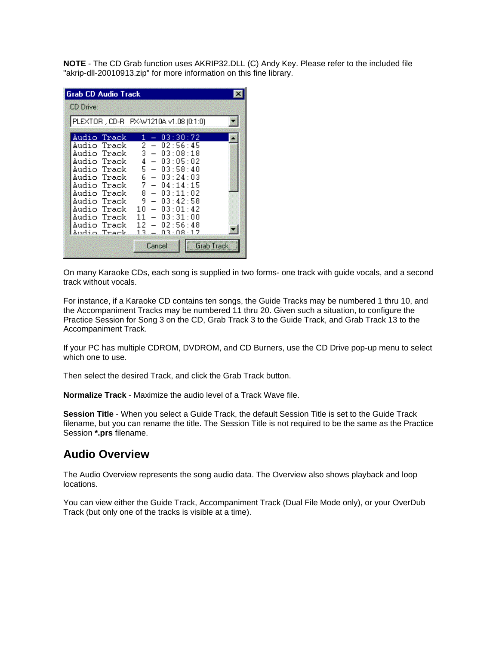**NOTE** - The CD Grab function uses AKRIP32.DLL (C) Andy Key. Please refer to the included file "akrip-dll-20010913.zip" for more information on this fine library.

| <b>Grab CD Audio Track</b>                                                                                                                                                                      |                                                                                                                                                                                                                                                                                                                                                                                                                                                                                      |  |
|-------------------------------------------------------------------------------------------------------------------------------------------------------------------------------------------------|--------------------------------------------------------------------------------------------------------------------------------------------------------------------------------------------------------------------------------------------------------------------------------------------------------------------------------------------------------------------------------------------------------------------------------------------------------------------------------------|--|
| <b>CD Drive:</b>                                                                                                                                                                                |                                                                                                                                                                                                                                                                                                                                                                                                                                                                                      |  |
|                                                                                                                                                                                                 | PLEXTOR, CD-R PX-W1210A v1.08 (0:1:0)                                                                                                                                                                                                                                                                                                                                                                                                                                                |  |
| Audio Track<br>Audio Track<br>Audio Track<br>Audio Track<br>Audio Track<br>Audio Track<br>Audio Track<br>Audio Track<br>Audio Track<br>Audio Track<br>Audio Track<br>Audio Track<br>Audio Track | 03:30:72<br>1<br>2<br>02:56:45<br>3<br>03:08:18<br>4<br>03:05:02<br>$\overline{\phantom{0}}$<br>5.<br>03:58:40<br>$\overline{\phantom{m}}$<br>6<br>03:24:03<br>$\qquad \qquad -$<br>7.<br>04:14:15<br>$\overline{\phantom{0}}$<br>8.<br>03:11:02<br>$\overline{\phantom{0}}$<br>9.<br>03:42:58<br>$\qquad \qquad -$<br>10.<br>03:01:42<br>$\overline{\phantom{0}}$<br>03:31:00<br>11<br>$\overline{\phantom{0}}$<br>$-02:56:48$<br>12.<br>13<br>A3 · A8 · 17<br>Grab Track<br>Cancel |  |

On many Karaoke CDs, each song is supplied in two forms- one track with guide vocals, and a second track without vocals.

For instance, if a Karaoke CD contains ten songs, the Guide Tracks may be numbered 1 thru 10, and the Accompaniment Tracks may be numbered 11 thru 20. Given such a situation, to configure the Practice Session for Song 3 on the CD, Grab Track 3 to the Guide Track, and Grab Track 13 to the Accompaniment Track.

If your PC has multiple CDROM, DVDROM, and CD Burners, use the CD Drive pop-up menu to select which one to use.

Then select the desired Track, and click the Grab Track button.

**Normalize Track** - Maximize the audio level of a Track Wave file.

**Session Title** - When you select a Guide Track, the default Session Title is set to the Guide Track filename, but you can rename the title. The Session Title is not required to be the same as the Practice Session **\*.prs** filename.

## **Audio Overview**

The Audio Overview represents the song audio data. The Overview also shows playback and loop locations.

You can view either the Guide Track, Accompaniment Track (Dual File Mode only), or your OverDub Track (but only one of the tracks is visible at a time).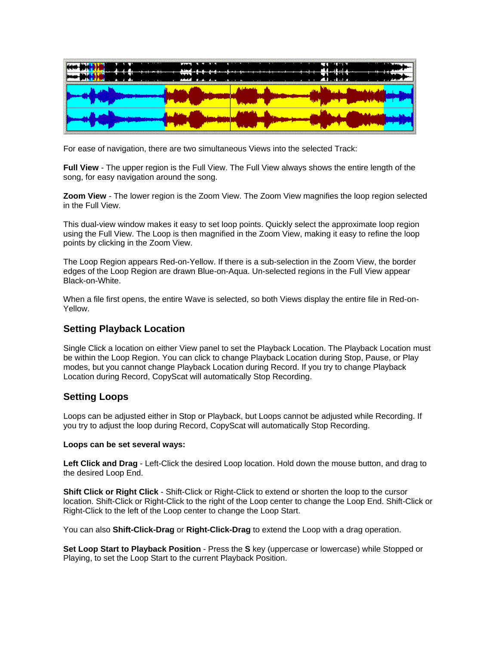

For ease of navigation, there are two simultaneous Views into the selected Track:

**Full View** - The upper region is the Full View. The Full View always shows the entire length of the song, for easy navigation around the song.

**Zoom View** - The lower region is the Zoom View. The Zoom View magnifies the loop region selected in the Full View.

This dual-view window makes it easy to set loop points. Quickly select the approximate loop region using the Full View. The Loop is then magnified in the Zoom View, making it easy to refine the loop points by clicking in the Zoom View.

The Loop Region appears Red-on-Yellow. If there is a sub-selection in the Zoom View, the border edges of the Loop Region are drawn Blue-on-Aqua. Un-selected regions in the Full View appear Black-on-White.

When a file first opens, the entire Wave is selected, so both Views display the entire file in Red-on-Yellow.

### **Setting Playback Location**

Single Click a location on either View panel to set the Playback Location. The Playback Location must be within the Loop Region. You can click to change Playback Location during Stop, Pause, or Play modes, but you cannot change Playback Location during Record. If you try to change Playback Location during Record, CopyScat will automatically Stop Recording.

### **Setting Loops**

Loops can be adjusted either in Stop or Playback, but Loops cannot be adjusted while Recording. If you try to adjust the loop during Record, CopyScat will automatically Stop Recording.

#### **Loops can be set several ways:**

**Left Click and Drag** - Left-Click the desired Loop location. Hold down the mouse button, and drag to the desired Loop End.

**Shift Click or Right Click** - Shift-Click or Right-Click to extend or shorten the loop to the cursor location. Shift-Click or Right-Click to the right of the Loop center to change the Loop End. Shift-Click or Right-Click to the left of the Loop center to change the Loop Start.

You can also **Shift-Click-Drag** or **Right-Click-Drag** to extend the Loop with a drag operation.

**Set Loop Start to Playback Position** - Press the **S** key (uppercase or lowercase) while Stopped or Playing, to set the Loop Start to the current Playback Position.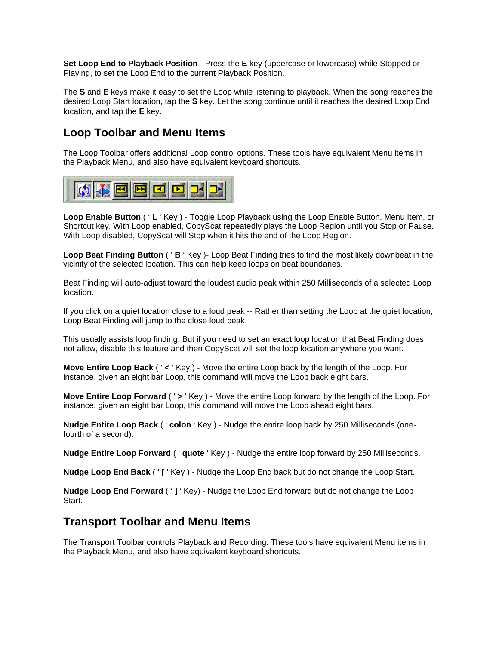**Set Loop End to Playback Position** - Press the **E** key (uppercase or lowercase) while Stopped or Playing, to set the Loop End to the current Playback Position.

The **S** and **E** keys make it easy to set the Loop while listening to playback. When the song reaches the desired Loop Start location, tap the **S** key. Let the song continue until it reaches the desired Loop End location, and tap the **E** key.

## **Loop Toolbar and Menu Items**

The Loop Toolbar offers additional Loop control options. These tools have equivalent Menu items in the Playback Menu, and also have equivalent keyboard shortcuts.



**Loop Enable Button** ( ' **L** ' Key ) - Toggle Loop Playback using the Loop Enable Button, Menu Item, or Shortcut key. With Loop enabled, CopyScat repeatedly plays the Loop Region until you Stop or Pause. With Loop disabled, CopyScat will Stop when it hits the end of the Loop Region.

**Loop Beat Finding Button** ( ' **B** ' Key )- Loop Beat Finding tries to find the most likely downbeat in the vicinity of the selected location. This can help keep loops on beat boundaries.

Beat Finding will auto-adjust toward the loudest audio peak within 250 Milliseconds of a selected Loop location.

If you click on a quiet location close to a loud peak -- Rather than setting the Loop at the quiet location, Loop Beat Finding will jump to the close loud peak.

This usually assists loop finding. But if you need to set an exact loop location that Beat Finding does not allow, disable this feature and then CopyScat will set the loop location anywhere you want.

**Move Entire Loop Back** ( ' **<** ' Key ) - Move the entire Loop back by the length of the Loop. For instance, given an eight bar Loop, this command will move the Loop back eight bars.

**Move Entire Loop Forward** ( ' **>** ' Key ) - Move the entire Loop forward by the length of the Loop. For instance, given an eight bar Loop, this command will move the Loop ahead eight bars.

**Nudge Entire Loop Back** ( ' **colon** ' Key ) - Nudge the entire loop back by 250 Milliseconds (onefourth of a second).

**Nudge Entire Loop Forward** ( ' **quote** ' Key ) - Nudge the entire loop forward by 250 Milliseconds.

**Nudge Loop End Back** ( ' **[** ' Key ) - Nudge the Loop End back but do not change the Loop Start.

**Nudge Loop End Forward** ( ' **]** ' Key) - Nudge the Loop End forward but do not change the Loop Start.

### **Transport Toolbar and Menu Items**

The Transport Toolbar controls Playback and Recording. These tools have equivalent Menu items in the Playback Menu, and also have equivalent keyboard shortcuts.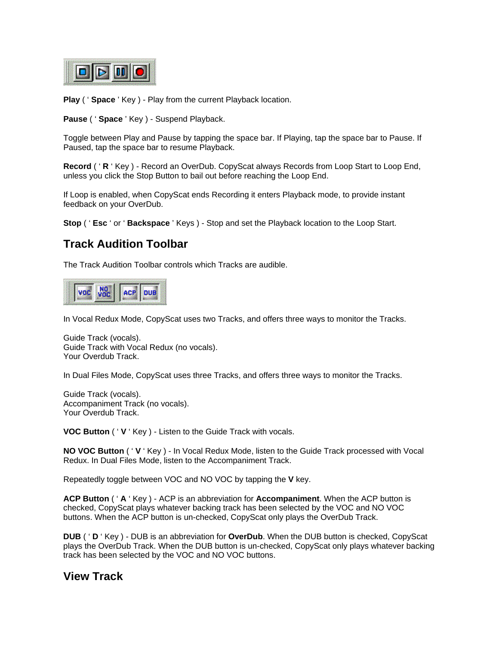

**Play** ( ' **Space** ' Key ) - Play from the current Playback location.

**Pause** ( ' **Space** ' Key ) - Suspend Playback.

Toggle between Play and Pause by tapping the space bar. If Playing, tap the space bar to Pause. If Paused, tap the space bar to resume Playback.

**Record** ( ' **R** ' Key ) - Record an OverDub. CopyScat always Records from Loop Start to Loop End, unless you click the Stop Button to bail out before reaching the Loop End.

If Loop is enabled, when CopyScat ends Recording it enters Playback mode, to provide instant feedback on your OverDub.

**Stop** ( ' **Esc** ' or ' **Backspace** ' Keys ) - Stop and set the Playback location to the Loop Start.

## **Track Audition Toolbar**

The Track Audition Toolbar controls which Tracks are audible.



In Vocal Redux Mode, CopyScat uses two Tracks, and offers three ways to monitor the Tracks.

Guide Track (vocals). Guide Track with Vocal Redux (no vocals). Your Overdub Track.

In Dual Files Mode, CopyScat uses three Tracks, and offers three ways to monitor the Tracks.

Guide Track (vocals). Accompaniment Track (no vocals). Your Overdub Track.

**VOC Button** ( ' **V** ' Key ) - Listen to the Guide Track with vocals.

**NO VOC Button** ( ' **V** ' Key ) - In Vocal Redux Mode, listen to the Guide Track processed with Vocal Redux. In Dual Files Mode, listen to the Accompaniment Track.

Repeatedly toggle between VOC and NO VOC by tapping the **V** key.

**ACP Button** ( ' **A** ' Key ) - ACP is an abbreviation for **Accompaniment**. When the ACP button is checked, CopyScat plays whatever backing track has been selected by the VOC and NO VOC buttons. When the ACP button is un-checked, CopyScat only plays the OverDub Track.

**DUB** ( ' **D** ' Key ) - DUB is an abbreviation for **OverDub**. When the DUB button is checked, CopyScat plays the OverDub Track. When the DUB button is un-checked, CopyScat only plays whatever backing track has been selected by the VOC and NO VOC buttons.

## **View Track**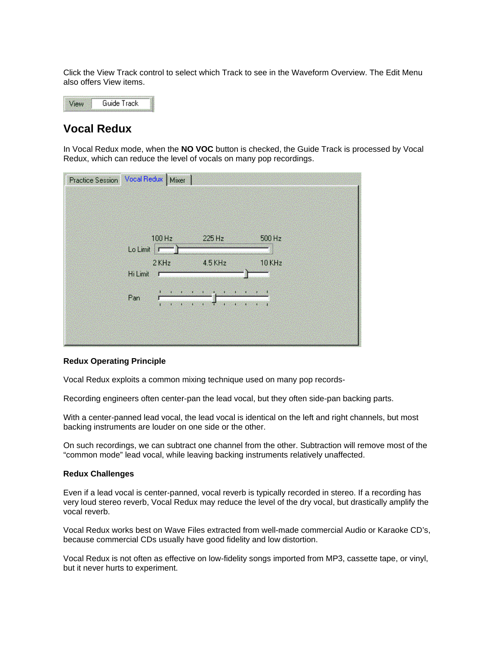Click the View Track control to select which Track to see in the Waveform Overview. The Edit Menu also offers View items.

Guide Track View

# **Vocal Redux**

In Vocal Redux mode, when the **NO VOC** button is checked, the Guide Track is processed by Vocal Redux, which can reduce the level of vocals on many pop recordings.

| Practice Session Vocal Redux   Mixer |                                              |                                               |  |
|--------------------------------------|----------------------------------------------|-----------------------------------------------|--|
|                                      |                                              |                                               |  |
| 100 Hz<br>Lo Limit                   | 225 Hz<br>                                   | 500 Hz<br>,,,,,,,,,,,,,,,,,,,,,,,,,,,,,,,,,,, |  |
| $2$ KHz                              | $4.5$ KHz                                    | 10 KHz                                        |  |
| Hi Limit                             |                                              |                                               |  |
| щ<br>30<br>Pan<br>л<br>л<br>л        | 9f<br>æ<br>τ<br>a.<br>83<br>Œ<br>æ<br>m<br>Œ | æ<br>ĸа<br>НP                                 |  |
|                                      |                                              |                                               |  |
|                                      |                                              |                                               |  |

#### **Redux Operating Principle**

Vocal Redux exploits a common mixing technique used on many pop records-

Recording engineers often center-pan the lead vocal, but they often side-pan backing parts.

With a center-panned lead vocal, the lead vocal is identical on the left and right channels, but most backing instruments are louder on one side or the other.

On such recordings, we can subtract one channel from the other. Subtraction will remove most of the "common mode" lead vocal, while leaving backing instruments relatively unaffected.

#### **Redux Challenges**

Even if a lead vocal is center-panned, vocal reverb is typically recorded in stereo. If a recording has very loud stereo reverb, Vocal Redux may reduce the level of the dry vocal, but drastically amplify the vocal reverb.

Vocal Redux works best on Wave Files extracted from well-made commercial Audio or Karaoke CD's, because commercial CDs usually have good fidelity and low distortion.

Vocal Redux is not often as effective on low-fidelity songs imported from MP3, cassette tape, or vinyl, but it never hurts to experiment.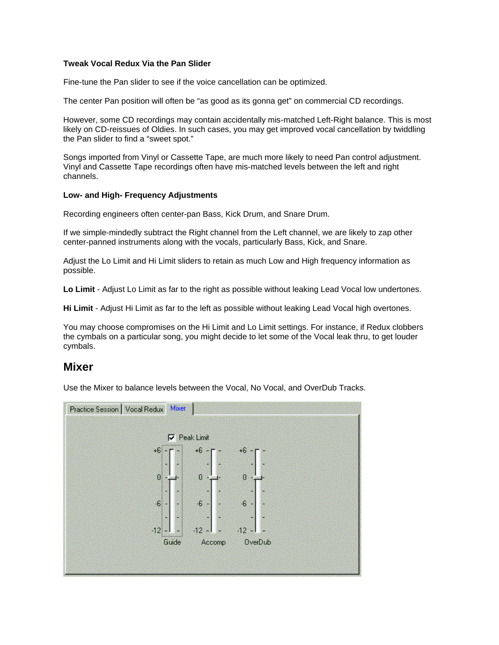#### **Tweak Vocal Redux Via the Pan Slider**

Fine-tune the Pan slider to see if the voice cancellation can be optimized.

The center Pan position will often be "as good as its gonna get" on commercial CD recordings.

However, some CD recordings may contain accidentally mis-matched Left-Right balance. This is most likely on CD-reissues of Oldies. In such cases, you may get improved vocal cancellation by twiddling the Pan slider to find a "sweet spot."

Songs imported from Vinyl or Cassette Tape, are much more likely to need Pan control adjustment. Vinyl and Cassette Tape recordings often have mis-matched levels between the left and right channels.

#### **Low- and High- Frequency Adjustments**

Recording engineers often center-pan Bass, Kick Drum, and Snare Drum.

If we simple-mindedly subtract the Right channel from the Left channel, we are likely to zap other center-panned instruments along with the vocals, particularly Bass, Kick, and Snare.

Adjust the Lo Limit and Hi Limit sliders to retain as much Low and High frequency information as possible.

**Lo Limit** - Adjust Lo Limit as far to the right as possible without leaking Lead Vocal low undertones.

**Hi Limit** - Adjust Hi Limit as far to the left as possible without leaking Lead Vocal high overtones.

You may choose compromises on the Hi Limit and Lo Limit settings. For instance, if Redux clobbers the cymbals on a particular song, you might decide to let some of the Vocal leak thru, to get louder cymbals.

### **Mixer**

Use the Mixer to balance levels between the Vocal, No Vocal, and OverDub Tracks.

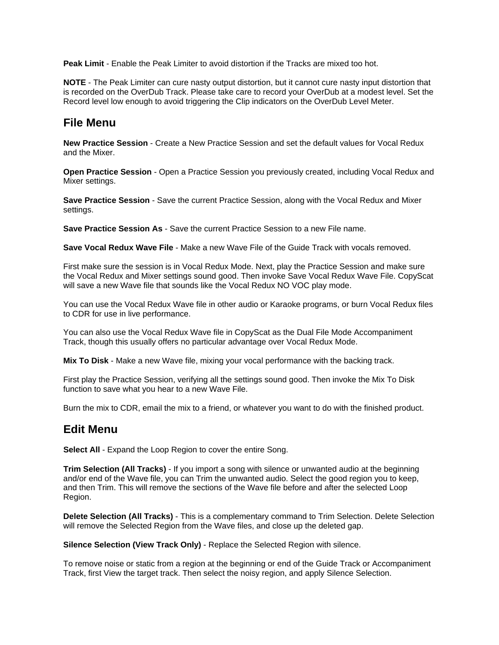**Peak Limit** - Enable the Peak Limiter to avoid distortion if the Tracks are mixed too hot.

**NOTE** - The Peak Limiter can cure nasty output distortion, but it cannot cure nasty input distortion that is recorded on the OverDub Track. Please take care to record your OverDub at a modest level. Set the Record level low enough to avoid triggering the Clip indicators on the OverDub Level Meter.

## **File Menu**

**New Practice Session** - Create a New Practice Session and set the default values for Vocal Redux and the Mixer.

**Open Practice Session** - Open a Practice Session you previously created, including Vocal Redux and Mixer settings.

**Save Practice Session** - Save the current Practice Session, along with the Vocal Redux and Mixer settings.

**Save Practice Session As** - Save the current Practice Session to a new File name.

**Save Vocal Redux Wave File** - Make a new Wave File of the Guide Track with vocals removed.

First make sure the session is in Vocal Redux Mode. Next, play the Practice Session and make sure the Vocal Redux and Mixer settings sound good. Then invoke Save Vocal Redux Wave File. CopyScat will save a new Wave file that sounds like the Vocal Redux NO VOC play mode.

You can use the Vocal Redux Wave file in other audio or Karaoke programs, or burn Vocal Redux files to CDR for use in live performance.

You can also use the Vocal Redux Wave file in CopyScat as the Dual File Mode Accompaniment Track, though this usually offers no particular advantage over Vocal Redux Mode.

**Mix To Disk** - Make a new Wave file, mixing your vocal performance with the backing track.

First play the Practice Session, verifying all the settings sound good. Then invoke the Mix To Disk function to save what you hear to a new Wave File.

Burn the mix to CDR, email the mix to a friend, or whatever you want to do with the finished product.

### **Edit Menu**

**Select All** - Expand the Loop Region to cover the entire Song.

**Trim Selection (All Tracks)** - If you import a song with silence or unwanted audio at the beginning and/or end of the Wave file, you can Trim the unwanted audio. Select the good region you to keep, and then Trim. This will remove the sections of the Wave file before and after the selected Loop Region.

**Delete Selection (All Tracks)** - This is a complementary command to Trim Selection. Delete Selection will remove the Selected Region from the Wave files, and close up the deleted gap.

**Silence Selection (View Track Only)** - Replace the Selected Region with silence.

To remove noise or static from a region at the beginning or end of the Guide Track or Accompaniment Track, first View the target track. Then select the noisy region, and apply Silence Selection.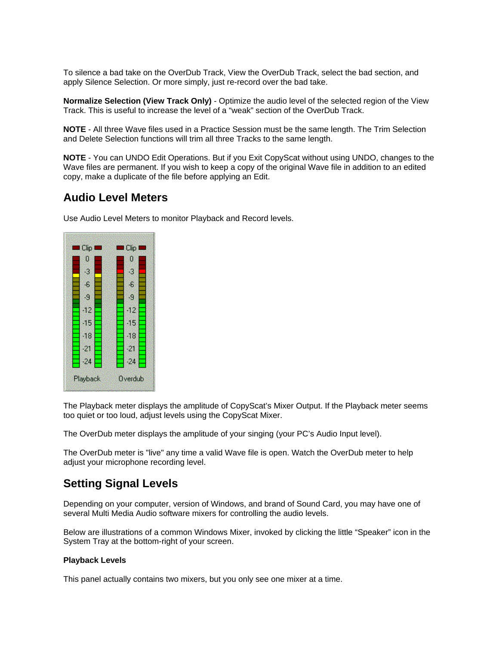To silence a bad take on the OverDub Track, View the OverDub Track, select the bad section, and apply Silence Selection. Or more simply, just re-record over the bad take.

**Normalize Selection (View Track Only)** - Optimize the audio level of the selected region of the View Track. This is useful to increase the level of a "weak" section of the OverDub Track.

**NOTE** - All three Wave files used in a Practice Session must be the same length. The Trim Selection and Delete Selection functions will trim all three Tracks to the same length.

**NOTE** - You can UNDO Edit Operations. But if you Exit CopyScat without using UNDO, changes to the Wave files are permanent. If you wish to keep a copy of the original Wave file in addition to an edited copy, make a duplicate of the file before applying an Edit.

## **Audio Level Meters**

Use Audio Level Meters to monitor Playback and Record levels.



The Playback meter displays the amplitude of CopyScat's Mixer Output. If the Playback meter seems too quiet or too loud, adjust levels using the CopyScat Mixer.

The OverDub meter displays the amplitude of your singing (your PC's Audio Input level).

The OverDub meter is "live" any time a valid Wave file is open. Watch the OverDub meter to help adjust your microphone recording level.

# **Setting Signal Levels**

Depending on your computer, version of Windows, and brand of Sound Card, you may have one of several Multi Media Audio software mixers for controlling the audio levels.

Below are illustrations of a common Windows Mixer, invoked by clicking the little "Speaker" icon in the System Tray at the bottom-right of your screen.

#### **Playback Levels**

This panel actually contains two mixers, but you only see one mixer at a time.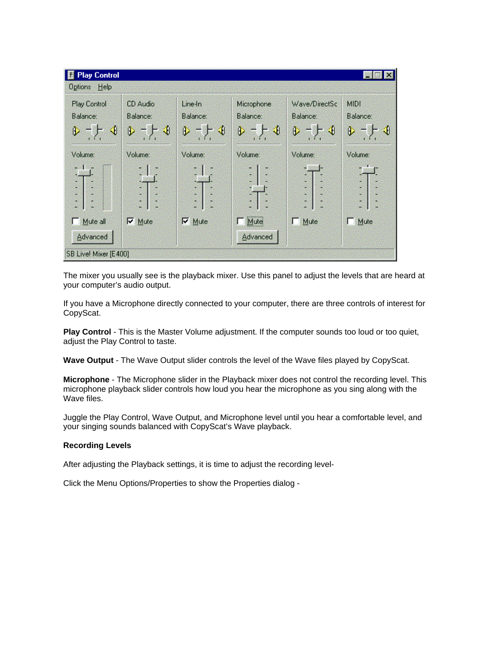| <b>Play Control</b><br>I 63 |                          |                               |                        |                            |                     |
|-----------------------------|--------------------------|-------------------------------|------------------------|----------------------------|---------------------|
| Help<br>Options             |                          |                               |                        |                            |                     |
| Play Control<br>Balance:    | CD Audio<br>Balance:     | Line-In<br>Balance:           | Microphone<br>Balance: | Wave/DirectSc<br>Balance:  | MIDI<br>Balance:    |
| ◀<br>D<br>Volume:           | - ) - ()<br>D<br>Volume: | $\mathcal{F}$<br>D<br>Volume: | FI<br>Ù.<br>Volume:    | $\bigcirc$<br>D<br>Volume: | ⊨ ∢<br>D<br>Volume: |
| Z                           |                          | e                             |                        | S.                         | B<br>É<br>G<br>3    |
| Mute all<br>ıп<br>Advanced  | $\nabla$ Mute            | $\nabla$ Mute                 | Mute<br>Advanced       | Mute<br>п                  | Mute<br>- 8         |
| SB Live! Mixer [E400]       |                          |                               |                        |                            |                     |

The mixer you usually see is the playback mixer. Use this panel to adjust the levels that are heard at your computer's audio output.

If you have a Microphone directly connected to your computer, there are three controls of interest for CopyScat.

Play Control - This is the Master Volume adjustment. If the computer sounds too loud or too quiet, adjust the Play Control to taste.

**Wave Output** - The Wave Output slider controls the level of the Wave files played by CopyScat.

**Microphone** - The Microphone slider in the Playback mixer does not control the recording level. This microphone playback slider controls how loud you hear the microphone as you sing along with the Wave files.

Juggle the Play Control, Wave Output, and Microphone level until you hear a comfortable level, and your singing sounds balanced with CopyScat's Wave playback.

#### **Recording Levels**

After adjusting the Playback settings, it is time to adjust the recording level-

Click the Menu Options/Properties to show the Properties dialog -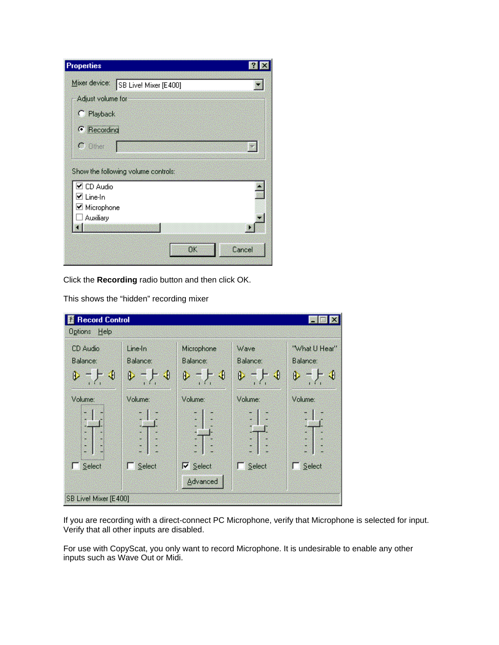| <b>Properties</b>                                 |  |
|---------------------------------------------------|--|
| Mixer device:<br>SB Live! Mixer [E400]            |  |
| Adjust volume for                                 |  |
| C Playback                                        |  |
| <b>C</b> Recording                                |  |
| $C$ Other                                         |  |
| Show the following volume controls:               |  |
| $\boxtimes$ CD Audio<br>☑ Line-In<br>☑ Microphone |  |
| Auxiliary                                         |  |

Click the **Recording** radio button and then click OK.

This shows the "hidden" recording mixer

| <b>Record Control</b> |                     |                             |                  |                           |
|-----------------------|---------------------|-----------------------------|------------------|---------------------------|
| Help<br>Options       |                     |                             |                  |                           |
| CD Audio<br>Balance:  | Line-In<br>Balance: | Microphone<br>Balance:      | Wave<br>Balance: | "What U Hear"<br>Balance: |
| €<br>D                | - 1<br>D            | НO<br>D                     | FJ<br>D          | - 1<br>D                  |
| Volume:               | Volume:             | Volume:                     | Volume:          | Volume:                   |
| Ŷ.                    |                     | š                           |                  | š                         |
| Select                | Select              | $\nabla$ Select<br>Advanced | Select           | Select                    |
| SB Live! Mixer [E400] |                     |                             |                  |                           |

If you are recording with a direct-connect PC Microphone, verify that Microphone is selected for input. Verify that all other inputs are disabled.

For use with CopyScat, you only want to record Microphone. It is undesirable to enable any other inputs such as Wave Out or Midi.